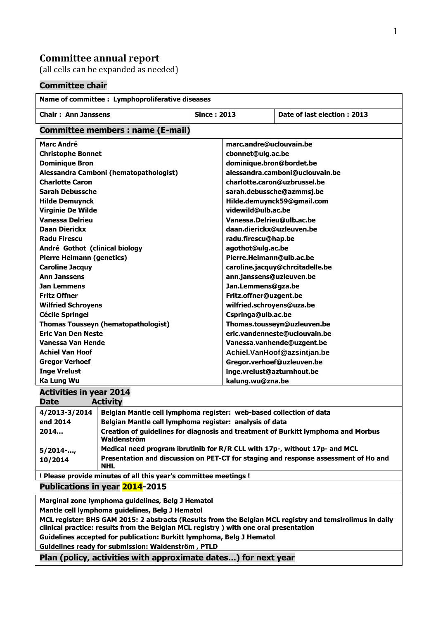## **Committee annual report**

(all cells can be expanded as needed)

## **Committee chair**

| Name of committee : Lymphoproliferative diseases                                                         |                                                                                                   |                    |                                 |                             |  |
|----------------------------------------------------------------------------------------------------------|---------------------------------------------------------------------------------------------------|--------------------|---------------------------------|-----------------------------|--|
| <b>Chair: Ann Janssens</b>                                                                               |                                                                                                   | <b>Since: 2013</b> |                                 | Date of last election: 2013 |  |
| Committee members : name (E-mail)                                                                        |                                                                                                   |                    |                                 |                             |  |
| <b>Marc André</b>                                                                                        |                                                                                                   |                    | marc.andre@uclouvain.be         |                             |  |
| <b>Christophe Bonnet</b>                                                                                 |                                                                                                   |                    | cbonnet@ulg.ac.be               |                             |  |
| <b>Dominique Bron</b>                                                                                    |                                                                                                   |                    | dominique.bron@bordet.be        |                             |  |
| Alessandra Camboni (hematopathologist)                                                                   |                                                                                                   |                    | alessandra.camboni@uclouvain.be |                             |  |
| <b>Charlotte Caron</b>                                                                                   |                                                                                                   |                    | charlotte.caron@uzbrussel.be    |                             |  |
| <b>Sarah Debussche</b>                                                                                   |                                                                                                   |                    | sarah.debussche@azmmsj.be       |                             |  |
| <b>Hilde Demuynck</b>                                                                                    |                                                                                                   |                    | Hilde.demuynck59@gmail.com      |                             |  |
| <b>Virginie De Wilde</b>                                                                                 |                                                                                                   |                    | videwild@ulb.ac.be              |                             |  |
| <b>Vanessa Delrieu</b>                                                                                   |                                                                                                   |                    | Vanessa.Delrieu@ulb.ac.be       |                             |  |
| <b>Daan Dierickx</b>                                                                                     |                                                                                                   |                    | daan.dierickx@uzleuven.be       |                             |  |
| <b>Radu Firescu</b>                                                                                      |                                                                                                   |                    | radu.firescu@hap.be             |                             |  |
| André Gothot (clinical biology                                                                           |                                                                                                   |                    | agothot@ulg.ac.be               |                             |  |
| <b>Pierre Heimann (genetics)</b>                                                                         |                                                                                                   |                    | Pierre.Heimann@ulb.ac.be        |                             |  |
| <b>Caroline Jacquy</b>                                                                                   |                                                                                                   |                    | caroline.jacquy@chrcitadelle.be |                             |  |
| <b>Ann Janssens</b>                                                                                      |                                                                                                   |                    | ann.janssens@uzleuven.be        |                             |  |
| Jan Lemmens                                                                                              |                                                                                                   |                    | Jan.Lemmens@gza.be              |                             |  |
| <b>Fritz Offner</b>                                                                                      |                                                                                                   |                    | Fritz.offner@uzgent.be          |                             |  |
| <b>Wilfried Schroyens</b>                                                                                |                                                                                                   |                    | wilfried.schroyens@uza.be       |                             |  |
| <b>Cécile Springel</b>                                                                                   |                                                                                                   |                    | Cspringa@ulb.ac.be              |                             |  |
| <b>Thomas Tousseyn (hematopathologist)</b>                                                               |                                                                                                   |                    | Thomas.tousseyn@uzleuven.be     |                             |  |
| <b>Eric Van Den Neste</b>                                                                                |                                                                                                   |                    | eric.vandenneste@uclouvain.be   |                             |  |
| Vanessa Van Hende                                                                                        |                                                                                                   |                    | Vanessa.vanhende@uzgent.be      |                             |  |
| <b>Achiel Van Hoof</b>                                                                                   |                                                                                                   |                    | Achiel.VanHoof@azsintjan.be     |                             |  |
| <b>Gregor Verhoef</b>                                                                                    |                                                                                                   |                    | Gregor.verhoef@uzleuven.be      |                             |  |
| <b>Inge Vrelust</b>                                                                                      |                                                                                                   |                    | inge.vrelust@azturnhout.be      |                             |  |
| <b>Ka Lung Wu</b>                                                                                        |                                                                                                   |                    | kalung.wu@zna.be                |                             |  |
| <b>Activities in year 2014</b>                                                                           |                                                                                                   |                    |                                 |                             |  |
| <b>Activity</b><br><b>Date</b>                                                                           |                                                                                                   |                    |                                 |                             |  |
| Belgian Mantle cell lymphoma register: web-based collection of data<br>4/2013-3/2014                     |                                                                                                   |                    |                                 |                             |  |
| end 2014                                                                                                 | Belgian Mantle cell lymphoma register: analysis of data                                           |                    |                                 |                             |  |
| 2014                                                                                                     | Creation of guidelines for diagnosis and treatment of Burkitt lymphoma and Morbus                 |                    |                                 |                             |  |
|                                                                                                          | Waldenström                                                                                       |                    |                                 |                             |  |
| $5/2014$ -,                                                                                              | Medical need program ibrutinib for R/R CLL with 17p-, without 17p- and MCL                        |                    |                                 |                             |  |
| 10/2014                                                                                                  | Presentation and discussion on PET-CT for staging and response assessment of Ho and<br><b>NHL</b> |                    |                                 |                             |  |
| ! Please provide minutes of all this year's committee meetings !                                         |                                                                                                   |                    |                                 |                             |  |
| Publications in year 2014-2015                                                                           |                                                                                                   |                    |                                 |                             |  |
| Marginal zone lymphoma guidelines, Belg J Hematol                                                        |                                                                                                   |                    |                                 |                             |  |
| Mantle cell lymphoma guidelines, Belg J Hematol                                                          |                                                                                                   |                    |                                 |                             |  |
| MCL register: BHS GAM 2015: 2 abstracts (Results from the Belgian MCL registry and temsirolimus in daily |                                                                                                   |                    |                                 |                             |  |
| clinical practice: results from the Belgian MCL registry ) with one oral presentation                    |                                                                                                   |                    |                                 |                             |  |
| Guidelines accepted for publication: Burkitt lymphoma, Belg J Hematol                                    |                                                                                                   |                    |                                 |                             |  |

**Guidelines ready for submission: Waldenström , PTLD**

**Plan (policy, activities with approximate dates…) for next year**